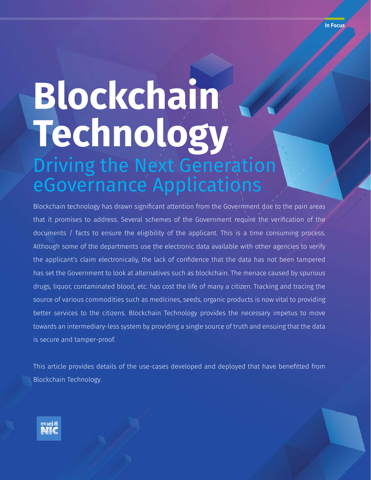# **Blockchain Technology** Driving the Next Generation eGovernance Applications

Blockchain technology has drawn significant attention from the Government due to the pain areas that it promises to address. Several schemes of the Government require the verification of the documents / facts to ensure the eligibility of the applicant. This is a time consuming process. Although some of the departments use the electronic data available with other agencies to verify the applicant's claim electronically, the lack of confidence that the data has not been tampered has set the Government to look at alternatives such as blockchain. The menace caused by spurious drugs, liquor, contaminated blood, etc. has cost the life of many a citizen. Tracking and tracing the source of various commodities such as medicines, seeds, organic products is now vital to providing better services to the citizens. Blockchain Technology provides the necessary impetus to move towards an intermediary-less system by providing a single source of truth and ensuing that the data is secure and tamper-proof.

This article provides details of the use-cases developed and deployed that have benefitted from Blockchain Technology.

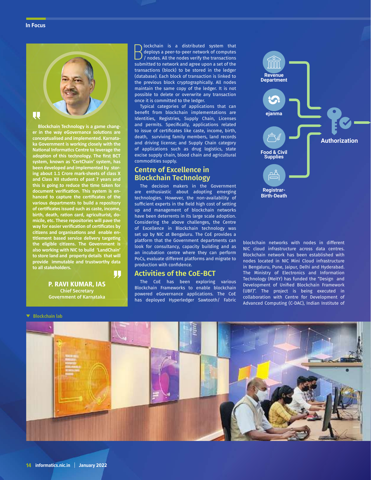#### **In Focus**



**er in the way eGovernance solutions are conceptualised and implemented. Karnataka Government is working closely with the National Informatics Centre to leverage the adoption of this technology. The first BCT system, known as 'CertChain' system, has been developed and implemented by storing about 1.1 Crore mark-sheets of class X and Class XII students of past 7 years and this is going to reduce the time taken for document verification. This system is enhanced to capture the certificates of the various departments to build a repository of certificates issued such as caste, income, birth, death, ration card, agriculturist, domicile, etc. These repositories will pave the way for easier verification of certificates by citizens and organisations and enable entitlement based service delivery targeting the eligible citizens. The Government is also working with NIC to build 'LandChain' to store land and property details that will provide immutable and trustworthy data to all stakeholders.** IJ

> P. RAVI KUMAR, IAS Chief Secretary Government of Karnataka

 $\begin{array}{l} \bigcup \text{lockchain} \quad \text{is} \quad \text{a} \quad \text{distributed} \quad \text{system} \quad \text{that} \\ \bigwedge \text{deplus}, \text{All the nodes verify the transactions} \\ \text{submitted to network and agree upon a set of the} \end{array}$ lockchain is a distributed system that deploys a peer-to-peer network of computes / nodes. All the nodes verify the transactions transactions (block) to be stored in the ledger (database). Each block of transaction is linked to the previous block cryptographically. All nodes maintain the same copy of the ledger. It is not possible to delete or overwrite any transaction once it is committed to the ledger.

Typical categories of applications that can benefit from blockchain implementations are Identities, Registries, Supply Chain, Licenses and permits. Specifically, applications related to issue of certificates like caste, income, birth, death, surviving family members, land records and driving license; and Supply Chain category of applications such as drug logistics, state excise supply chain, blood chain and agricultural commodities supply.

# **Centre of Excellence in Blockchain Technology**

The decision makers in the Government are enthusiastic about adopting emerging technologies. However, the non-availability of sufficient experts in the field high cost of setting up and management of blockchain networks have been deterrents in its large scale adoption. Considering the above challenges, the Centre of Excellence in Blockchain technology was set up by NIC at Bengaluru. The CoE provides a platform that the Government departments can look for consultancy, capacity building and as an incubation centre where they can perform PoCs, evaluate different platforms and migrate to production with confidence.

# **Activities of the CoE-BCT**

The CoE has been exploring various Blockchain Frameworks to enable blockchain powered eGovernance applications. The CoE has deployed Hyperledger Sawtooth/ Fabric



blockchain networks with nodes in different NIC cloud infrastructure across data centres. Blockchain network has been established with nodes located in NIC Mini Cloud infrastructure in Bengaluru, Pune, Jaipur, Delhi and Hyderabad. The Ministry of Electronics and Information Technology (MeitY) has funded the "Design and Development of Unified Blockchain Framework (UBF)". The project is being executed in collaboration with Centre for Development of Advanced Computing (C-DAC), Indian Institute of

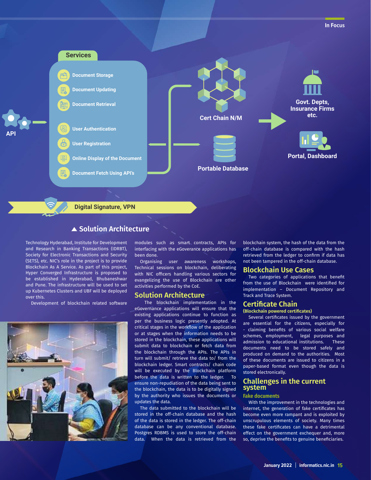

# ▲ Solution Architecture

Technology Hyderabad, Institute for Development and Research in Banking Transactions (IDRBT), Society for Electronic Transactions and Security (SETS), etc. NIC's role in the project is to provide Blockchain As A Service. As part of this project, Hyper Converged Infrastructure is proposed to be established in Hyderabad, Bhubaneshwar and Pune. The infrastructure will be used to set up Kubernetes Clusters and UBF will be deployed over this.

Development of blockchain related software



modules such as smart contracts, APIs for interfacing with the eGoverance applications has been done.

Organising user awareness workshops, Technical sessions on blockchain, deliberating with NIC officers handling various sectors for evangelizing the use of Blockchain are other activities performed by the CoE.

## **Solution Architecture**

The blockchain implementation in the eGovernance applications will ensure that the existing applications continue to function as per the business logic presently adopted. At critical stages in the workflow of the application or at stages when the information needs to be stored in the blockchain, these applications will submit data to blockchain or fetch data from the blockchain through the APIs. The APIs in turn will submit/ retrieve the data to/ from the blockchain ledger. Smart contracts/ chain code will be executed by the Blockchain platform before the data is written to the ledger. To ensure non-repudiation of the data being sent to the blockchain, the data is to be digitally signed by the authority who issues the documents or updates the data.

The data submitted to the blockchain will be stored in the off-chain database and the hash of the data is stored in the ledger. The off-chain database can be any conventional database. Postgres RDBMS is used to store the off-chain data. When the data is retrieved from the

blockchain system, the hash of the data from the off-chain database is compared with the hash retrieved from the ledger to confirm if data has not been tampered in the off-chain database.

## **Blockchain Use Cases**

Two categories of applications that benefit from the use of Blockchain were identified for implementation – Document Repository and Track and Trace System.

## **Certificate Chain**

## **(Blockchain powered certificates)**

Several certificates issued by the government are essential for the citizens, especially for - claiming benefits of various social welfare schemes, employment, legal purposes and admission to educational institutions. These documents need to be stored safely and produced on demand to the authorities. Most of these documents are issued to citizens in a paper-based format even though the data is stored electronically.

## **Challenges in the current system**

#### **Fake documents**

With the improvement in the technologies and internet, the generation of fake certificates has become even more rampant and is exploited by unscrupulous elements of society. Many times these fake certificates can have a detrimental effect on the government exchequer and, more so, deprive the benefits to genuine beneficiaries.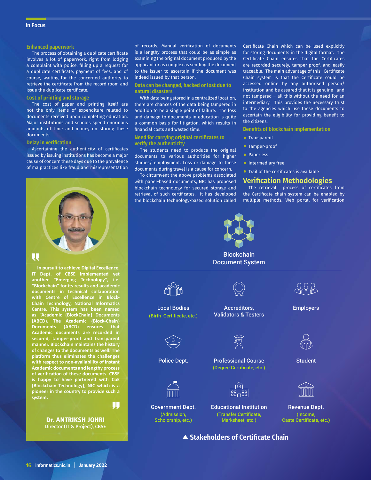#### **Enhanced paperwork**

The process of obtaining a duplicate certificate involves a lot of paperwork, right from lodging a complaint with police, filling up a request for a duplicate certificate, payment of fees, and of course, waiting for the concerned authority to retrieve the certificate from the record room and issue the duplicate certificate.

#### **Cost of printing and storage**

The cost of paper and printing itself are not the only items of expenditure related to documents received upon completing education. Major institutions and schools spend enormous amounts of time and money on storing these documents.

#### **Delay in verification**

Ascertaining the authenticity of certificates issued by issuing institutions has become a major cause of concern these days due to the prevalence of malpractices like fraud and misrepresentation



**In pursuit to achieve Digital Excellence, IT Dept. of CBSE implemented yet another "Emerging Technology", i.e. "Blockchain" for its results and academic documents in technical collaboration with Centre of Excellence in Block-Chain Technology, National Informatics Centre. This system has been named as "Academic {BlockChain} Documents (ABCD). The Academic {Block-Chain} Documents (ABCD) ensures that Academic documents are recorded in secured, tamper-proof and transparent manner. Blockchain maintains the history of changes to the documents as well. The platform thus eliminates the challenges with respect to non-availability of instant Academic documents and lengthy process of verification of these documents. CBSE is happy to have partnered with CoE {Blockchain Technology}, NIC which is a pioneer in the country to provide such a system.**

> Dr. ANTRIKSH JOHRI Director (IT & Project), CBSE

IJJ

of records. Manual verification of documents is a lengthy process that could be as simple as examining the original document produced by the applicant or as complex as sending the document to the issuer to ascertain if the document was indeed issued by that person.

**Data can be changed, hacked or lost due to natural disasters**

With data being stored in a centralized location, there are chances of the data being tampered in addition to be a single point of failure. The loss and damage to documents in education is quite a common basis for litigation, which results in financial costs and wasted time.

#### **Need for carrying original certificates to verify the authenticity**

The students need to produce the original documents to various authorities for higher studies/ employment. Loss or damage to these documents during travel is a cause for concern.

To circumvent the above problems associated with paper-based documents, NIC has proposed blockchain technology for secured storage and retrieval of such certificates. It has developed the blockchain technology-based solution called Certificate Chain which can be used explicitly for storing documents in the digital format. The Certificate Chain ensures that the Certificates are recorded securely, tamper-proof, and easily traceable. The main advantage of this Certificate Chain system is that the Certificate could be accessed online by any authorised person/ institution and be assured that it is genuine and not tampered – all this without the need for an intermediary. This provides the necessary trust to the agencies which use these documents to ascertain the eligibility for providing benefit to the citizens.

**Benefits of blockchain implementation**

- **Transparent**
- Tamper-proof
- Paperless
- **•** Intermediary free
- Trail of the certificates is available

#### **Verification Methodologies**

The retrieval process of certificates from the Certificate chain system can be enabled by multiple methods. Web portal for verification



**Blockchain** Document System



Local Bodies (Birth Certificate, etc.)

Accreditors, Validators & Testers



(Admission, Scholorship, etc.)

Police Dept. Professional Course (Degree Certificate, etc.)



Government Dept. Educational Institution Revenue Dept. (Transfer Certificate, Marksheet, etc.)

**▲ Stakeholders of Certificate Chain** 



**Student** 

Employers



(Income, Caste Certificate, etc.)

**16 informatics.nic.in January 2022**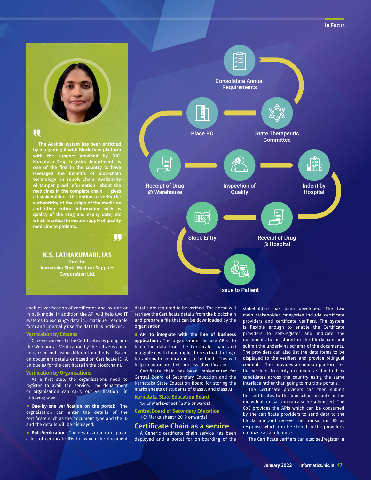

# U

**The Aushda system has been enriched by integrating it with Blockchain platform with the support provided by NIC. Karnataka Drug Logistics department is one of the first in the country to have leveraged the benefits of blockchain technology in Supply Chain. Availability of tamper proof information about the medicines in the complete chain gives all stakeholders the option to verify the authenticity of the origin of the medicine and other critical information such as quality of the drug and expiry date, etc which is critical to ensure supply of quality medicine to patients.**

IJ,

K.S. LATHAKUMARI, IAS **Director** Karnataka State Medical Supplies Corporation Ltd.

enables verification of certificates one-by-one or in bulk mode. In addition the API will help two IT systems to exchange data in machine readable form and internally use the data thus retrieved.

## **Verification by Citizens**

Citizens can verify the Certificates by going into the Web portal. Verification by the citizens could be carried out using different methods – Based on document details or based on Certificate ID (A unique ID for the certificate in the blockchain).

#### **Verification by Organisations**

As a first step, the organisations need to register to avail the service. The department or organisation can carry out verification in following ways

• **One-by-one verification on the portal:** The orgnaisation can enter the details of the certificate such as the document type and the ID and the details will be displayed.

• **Bulk Verification :** The organisation can upload a list of certificate IDs for which the document



details are required to be verified. The portal will retrieve the Certificate details from the blockchain and prepare a file that can be downloaded by the organisation.

• **API to integrate with the line of business application :** The organisation can use APIs to fetch the data from the Certificate chain and integrate it with their application so that the logic for automatic verification can be built. This will help to automate their process of verification.

Certificate chain has been implemented for Central Board of Secondary Education and the Karnataka State Education Board for storing the marks sheets of students of class X and class XII

**Karnataka State Education Board**

1.4 Cr Marks-sheet ( 2015 onwards)

**Central Board of Secondary Education** 1 Cr Marks-sheet ( 2019 onwards)

## **Certificate Chain as a service**

A Generic certificate chain service has been deployed and a portal for on-boarding of the

stakeholders has been developed. The two main stakeholder categories include certificate providers and certificate verifiers. The system is flexible enough to enable the Certificate providers to self-register and indicate the documents to be stored in the blockchain and submit the underlying schema of the documents. The providers can also list the data items to be displayed to the verifiers and provide bilingual content. This provides a common platform for the verifiers to verify documents submitted by candidates across the country using the same interface rather than going to multiple portals.

The Certificate providers can then submit the certificates to the blockchain in bulk or the individual transaction can also be submitted. The CoE provides the APIs which can be consumed by the certificate providers to send data to the blockchain and receive the transaction ID as response which can be stored in the provider's database as a reference.

The Certificate verifiers can also selfregister in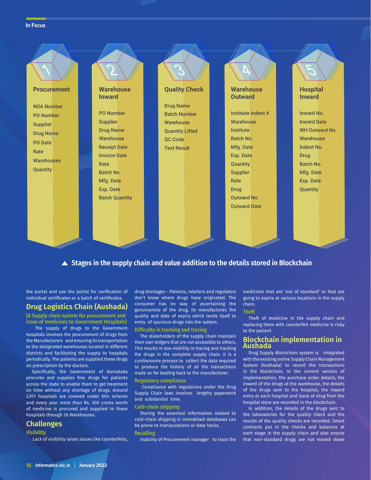#### **In Focus**



# **Stages in the supply chain and value addition to the details stored in Blockchain**

the portal and use the portal for verification of individual certificates or a batch of certificates.

## **Drug Logistics Chain (Aushada)**

**(A Supply chain system for procurement and issue of medicines to Government Hospitals)** 

The supply of drugs to the Government hospitals involves the procurement of drugs from the Manufacturers and ensuring its transportation to the designated warehouses located in different districts and facilitating the supply to hospitals periodically. The patients are supplied these drugs on prescription by the doctors.

Specifically, the Government of Karnataka procures and supplies free drugs for patients across the state to enable them to get treatment on time without any shortage of drugs. Around 2,911 hospitals are covered under this scheme and every year more than Rs. 300 crores worth of medicine is procured and supplied to these hospitals through 26 Warehouses.

## **Challenges**

### **Visibility**

Lack of visibility raises issues like counterfeits,

drug shortages - Patients, retailers and regulators don't know where drugs have originated. The consumer has no way of ascertaining the genuineness of the drug, its manufacturer, the quality and date of expiry which lends itself to entry of spurious drugs into the system.

## **Difficulty in tracking and tracing**

The stakeholders of the supply chain maintain their own ledgers that are not accessible to others. This results in low visibility in tracing and tracking the drugs in the complete supply chain. It is a cumbersome process to collect the data required to produce the history of all the transactions made so far leading back to the manufacturer.

#### **Regulatory compliance**

 Compliance with regulations under the Drug Supply Chain laws involves lengthy paperwork and substantial time.

#### **Cold-chain shipping**

Storing the essential information related to cold-chain shipping in centralized databases can be prone to manipulations or data hacks.

#### **Recalling**

Inability of Procurement manager to trace the

medicines that are 'not of standard' or that are going to expire at various locations in the supply chain.

#### **Theft**

Theft of medicine in the supply chain and replacing them with counterfeit medicine is risky to the patient

## **Blockchain implementation in Aushada**

Drug Supply Blockchain system is integrated with the existing online Supply Chain Management System (Aushada) to record the transactions in the blockchain. In the current version of implementation, the purchase order details, the inward of the drugs at the warehouse, the details of the drugs sent to the hospital, the inward entry at each hospital and issue of drug from the hospital store are recorded in the blockchain.

In addition, the details of the drugs sent to the laboratories for the quality check and the results of the quality checks are recorded. Smart contracts put in the checks and balances at each stage in the supply chain and also ensure that non-standard drugs are not moved down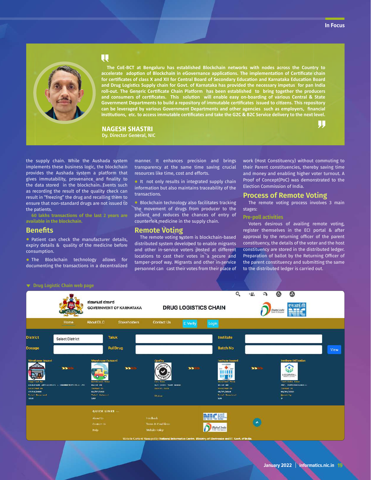. L.



# $\overline{\mathbf{u}}$

**The CoE-BCT at Bengaluru has established Blockchain networks with nodes across the Country to accelerate adoption of Blockchain in eGovernance applications. The implementation of Certificate chain for certificates of class X and XII for Central Board of Secondary Education and Karnataka Education Board and Drug Logistics Supply chain for Govt. of Karnataka has provided the necessary impetus for pan India roll-out. The Generic Certificate Chain Platform has been established to bring together the producers and consumers of certificates. This solution will enable easy on-boarding of various Central & State Government Departments to build a repository of immutable certificates issued to citizens. This repository can be leveraged by various Government Departments and other agencies such as employers, financial institutions, etc. to access immutable certificates and take the G2C & B2C Service delivery to the next level.**

NAGESH SHASTRI Dy. Director General, NIC

the supply chain. While the Aushada system implements these business logic, the blockchain provides the Aushada system a platform that gives immutability, provenance and finality to the data stored in the blockchain. Events such as recording the result of the quality check can result in "freezing" the drug and recalling them to ensure that non-standard drugs are not issued to the patients.

**60 lakhs transactions of the last 2 years are available in the blockchain.**

## **Benefits**

• Patient can check the manufacturer details, expiry details & quality of the medicine before consumption.

• The Blockchain technology allows for documenting the transactions in a decentralized



• It not only results in integrated supply chain information but also maintains traceability of the transactions.

• Blockchain technology also facilitates tracking the movement of drugs from producer to the patient and reduces the chances of entry of counterfeit medicine in the supply chain.

## **Remote Voting**

The remote voting system is blockchain-based distributed system developed to enable migrants and other in-service voters posted at different locations to cast their votes in a secure and tamper-proof way. Migrants and other in-service personnel can cast their votes from their place of work (Host Constituency) without commuting to their Parent constituencies, thereby saving time and money and enabling higher voter turnout. A Proof of Concept(PoC) was demonstrated to the Election Commission of India.

## **Process of Remote Voting**

The remote voting process involves 3 main stages:

### **Pre-poll activities**

Voters desirous of availing remote voting, register themselves in the ECI portal & after approval by the returning officer of the parent constituency, the details of the voter and the host constituency are stored in the distributed ledger. Preparation of ballot by the Returning Officer of the parent constituency and submitting the same to the distributed ledger is carried out.